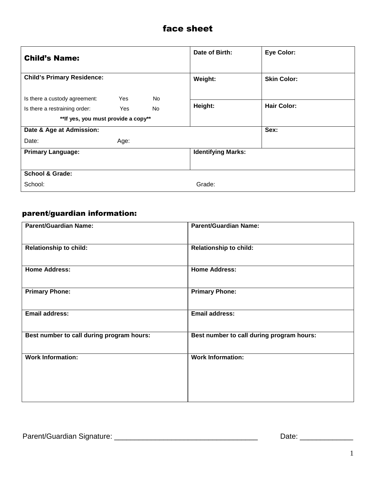# face sheet

| <b>Child's Name:</b>                 |            |           | Date of Birth:            | <b>Eye Color:</b>  |
|--------------------------------------|------------|-----------|---------------------------|--------------------|
| <b>Child's Primary Residence:</b>    |            |           | Weight:                   | <b>Skin Color:</b> |
| Is there a custody agreement:        | <b>Yes</b> | <b>No</b> |                           |                    |
| Is there a restraining order:        | Yes        | No.       | Height:                   | <b>Hair Color:</b> |
| ** If yes, you must provide a copy** |            |           |                           |                    |
| Date & Age at Admission:             |            |           |                           | Sex:               |
| Date:                                | Age:       |           |                           |                    |
| <b>Primary Language:</b>             |            |           | <b>Identifying Marks:</b> |                    |
| <b>School &amp; Grade:</b>           |            |           |                           |                    |
| School:                              |            |           | Grade:                    |                    |

# parent/guardian information:

| <b>Parent/Guardian Name:</b>              | <b>Parent/Guardian Name:</b>              |
|-------------------------------------------|-------------------------------------------|
| <b>Relationship to child:</b>             | <b>Relationship to child:</b>             |
| <b>Home Address:</b>                      | <b>Home Address:</b>                      |
| <b>Primary Phone:</b>                     | <b>Primary Phone:</b>                     |
| <b>Email address:</b>                     | <b>Email address:</b>                     |
| Best number to call during program hours: | Best number to call during program hours: |
| <b>Work Information:</b>                  | <b>Work Information:</b>                  |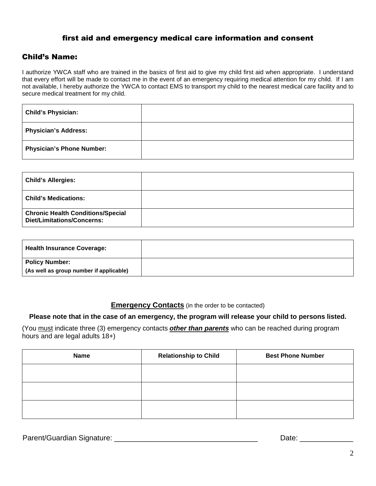# first aid and emergency medical care information and consent

# Child's Name:

I authorize YWCA staff who are trained in the basics of first aid to give my child first aid when appropriate. I understand that every effort will be made to contact me in the event of an emergency requiring medical attention for my child. If I am not available, I hereby authorize the YWCA to contact EMS to transport my child to the nearest medical care facility and to secure medical treatment for my child.

| <b>Child's Physician:</b>        |  |
|----------------------------------|--|
| <b>Physician's Address:</b>      |  |
| <b>Physician's Phone Number:</b> |  |

| <b>Child's Allergies:</b>                                                     |  |
|-------------------------------------------------------------------------------|--|
| <b>Child's Medications:</b>                                                   |  |
| <b>Chronic Health Conditions/Special</b><br><b>Diet/Limitations/Concerns:</b> |  |

| <b>Health Insurance Coverage:</b>       |  |
|-----------------------------------------|--|
| <b>Policy Number:</b>                   |  |
| (As well as group number if applicable) |  |

#### **Emergency Contacts** (in the order to be contacted)

#### **Please note that in the case of an emergency, the program will release your child to persons listed.**

(You must indicate three (3) emergency contacts **other than parents** who can be reached during program hours and are legal adults 18+)

| <b>Name</b> | <b>Relationship to Child</b> | <b>Best Phone Number</b> |
|-------------|------------------------------|--------------------------|
|             |                              |                          |
|             |                              |                          |
|             |                              |                          |

Parent/Guardian Signature: \_\_\_\_\_\_\_\_\_\_\_\_\_\_\_\_\_\_\_\_\_\_\_\_\_\_\_\_\_\_\_\_\_\_\_ Date: \_\_\_\_\_\_\_\_\_\_\_\_\_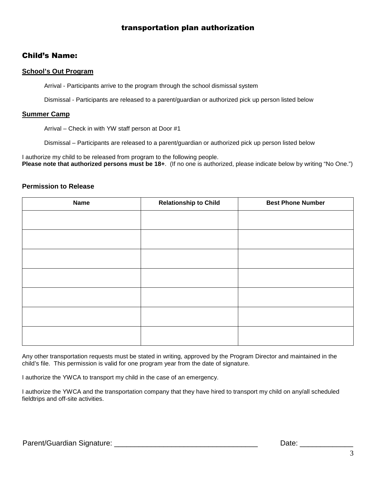# transportation plan authorization

# Child's Name:

#### **School's Out Program**

Arrival - Participants arrive to the program through the school dismissal system

Dismissal - Participants are released to a parent/guardian or authorized pick up person listed below

#### **Summer Camp**

Arrival – Check in with YW staff person at Door #1

Dismissal – Participants are released to a parent/guardian or authorized pick up person listed below

I authorize my child to be released from program to the following people. **Please note that authorized persons must be 18+**. (If no one is authorized, please indicate below by writing "No One.")

#### **Permission to Release**

| <b>Name</b> | <b>Relationship to Child</b> | <b>Best Phone Number</b> |
|-------------|------------------------------|--------------------------|
|             |                              |                          |
|             |                              |                          |
|             |                              |                          |
|             |                              |                          |
|             |                              |                          |
|             |                              |                          |
|             |                              |                          |
|             |                              |                          |
|             |                              |                          |
|             |                              |                          |

Any other transportation requests must be stated in writing, approved by the Program Director and maintained in the child's file. This permission is valid for one program year from the date of signature.

I authorize the YWCA to transport my child in the case of an emergency.

I authorize the YWCA and the transportation company that they have hired to transport my child on any/all scheduled fieldtrips and off-site activities.